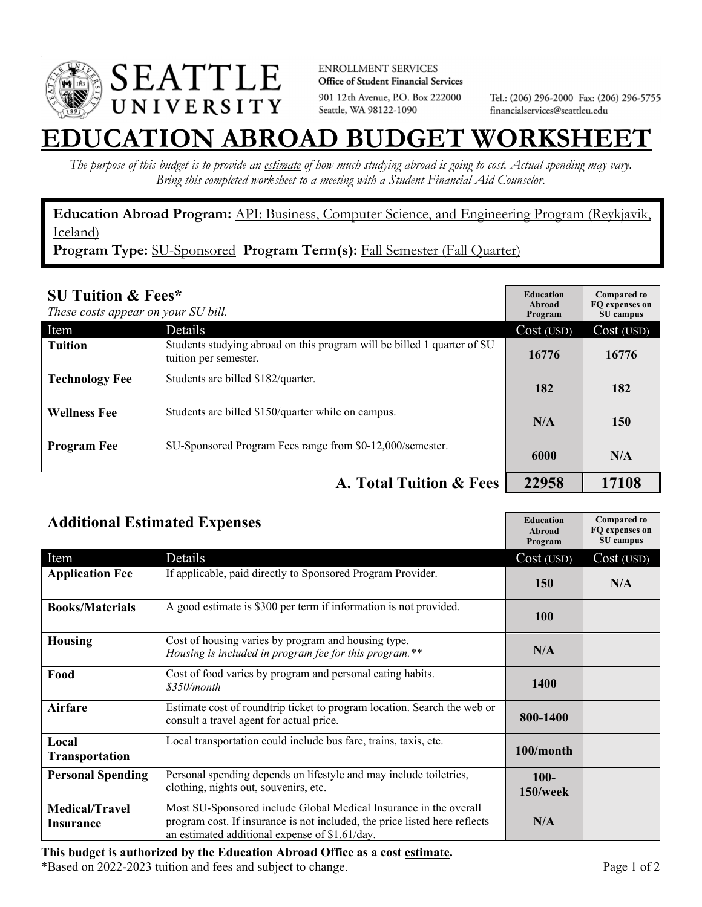

**ENROLLMENT SERVICES** Office of Student Financial Services 901 12th Avenue, P.O. Box 222000 Seattle, WA 98122-1090

Tel.: (206) 296-2000 Fax: (206) 296-5755 financialservices@seattleu.edu

## **EATION ABROAD BUDGET WORKSHEI**

*The purpose of this budget is to provide an estimate of how much studying abroad is going to cost. Actual spending may vary. Bring this completed worksheet to a meeting with a Student Financial Aid Counselor.* 

**Education Abroad Program:** API: Business, Computer Science, and Engineering Program (Reykjavik, Iceland)

Program Type: SU-Sponsored Program Term(s): Fall Semester (Fall Quarter)

| <b>SU Tuition &amp; Fees*</b><br>These costs appear on your SU bill. |                                                                                                  | <b>Education</b><br>Abroad<br>Program | <b>Compared to</b><br>FO expenses on<br>SU campus |
|----------------------------------------------------------------------|--------------------------------------------------------------------------------------------------|---------------------------------------|---------------------------------------------------|
| Item                                                                 | Details                                                                                          | Cost (USD)                            | Cost (USD)                                        |
| <b>Tuition</b>                                                       | Students studying abroad on this program will be billed 1 quarter of SU<br>tuition per semester. | 16776                                 | 16776                                             |
| <b>Technology Fee</b>                                                | Students are billed \$182/quarter.                                                               | 182                                   | 182                                               |
| <b>Wellness Fee</b>                                                  | Students are billed \$150/quarter while on campus.                                               | N/A                                   | 150                                               |
| <b>Program Fee</b>                                                   | SU-Sponsored Program Fees range from \$0-12,000/semester.                                        | 6000                                  | N/A                                               |
|                                                                      | A. Total Tuition & Fees                                                                          | 22958                                 | 17108                                             |

| <b>Additional Estimated Expenses</b>      |                                                                                                                                                                                                   | <b>Education</b><br><b>Abroad</b><br>Program | <b>Compared to</b><br>FQ expenses on<br>SU campus |
|-------------------------------------------|---------------------------------------------------------------------------------------------------------------------------------------------------------------------------------------------------|----------------------------------------------|---------------------------------------------------|
| Item                                      | Details                                                                                                                                                                                           | Cost (USD)                                   | Cost (USD)                                        |
| <b>Application Fee</b>                    | If applicable, paid directly to Sponsored Program Provider.                                                                                                                                       | 150                                          | N/A                                               |
| <b>Books/Materials</b>                    | A good estimate is \$300 per term if information is not provided.                                                                                                                                 | 100                                          |                                                   |
| <b>Housing</b>                            | Cost of housing varies by program and housing type.<br>Housing is included in program fee for this program.**                                                                                     | N/A                                          |                                                   |
| Food                                      | Cost of food varies by program and personal eating habits.<br>\$350/month                                                                                                                         | 1400                                         |                                                   |
| <b>Airfare</b>                            | Estimate cost of roundtrip ticket to program location. Search the web or<br>consult a travel agent for actual price.                                                                              | 800-1400                                     |                                                   |
| Local<br>Transportation                   | Local transportation could include bus fare, trains, taxis, etc.                                                                                                                                  | 100/month                                    |                                                   |
| <b>Personal Spending</b>                  | Personal spending depends on lifestyle and may include toiletries,<br>clothing, nights out, souvenirs, etc.                                                                                       | $100 -$<br>150/week                          |                                                   |
| <b>Medical/Travel</b><br><b>Insurance</b> | Most SU-Sponsored include Global Medical Insurance in the overall<br>program cost. If insurance is not included, the price listed here reflects<br>an estimated additional expense of \$1.61/day. | N/A                                          |                                                   |

**This budget is authorized by the Education Abroad Office as a cost estimate.**  \*Based on 2022-2023 tuition and fees and subject to change. Page 1 of 2